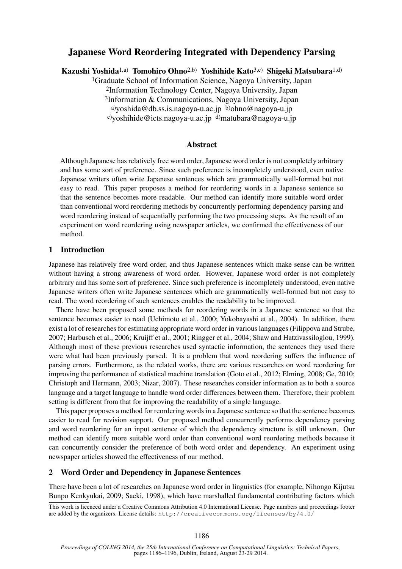# Japanese Word Reordering Integrated with Dependency Parsing

Kazushi Yoshida1,a) Tomohiro Ohno2,b) Yoshihide Kato3,c) Shigeki Matsubara1,d)

1Graduate School of Information Science, Nagoya University, Japan

2Information Technology Center, Nagoya University, Japan

3Information & Communications, Nagoya University, Japan

a)yoshida@db.ss.is.nagoya-u.ac.jp b)ohno@nagoya-u.jp

c)yoshihide@icts.nagoya-u.ac.jp d)matubara@nagoya-u.jp

## Abstract

Although Japanese has relatively free word order, Japanese word order is not completely arbitrary and has some sort of preference. Since such preference is incompletely understood, even native Japanese writers often write Japanese sentences which are grammatically well-formed but not easy to read. This paper proposes a method for reordering words in a Japanese sentence so that the sentence becomes more readable. Our method can identify more suitable word order than conventional word reordering methods by concurrently performing dependency parsing and word reordering instead of sequentially performing the two processing steps. As the result of an experiment on word reordering using newspaper articles, we confirmed the effectiveness of our method.

## 1 Introduction

Japanese has relatively free word order, and thus Japanese sentences which make sense can be written without having a strong awareness of word order. However, Japanese word order is not completely arbitrary and has some sort of preference. Since such preference is incompletely understood, even native Japanese writers often write Japanese sentences which are grammatically well-formed but not easy to read. The word reordering of such sentences enables the readability to be improved.

There have been proposed some methods for reordering words in a Japanese sentence so that the sentence becomes easier to read (Uchimoto et al., 2000; Yokobayashi et al., 2004). In addition, there exist a lot of researches for estimating appropriate word order in various languages (Filippova and Strube, 2007; Harbusch et al., 2006; Kruijff et al., 2001; Ringger et al., 2004; Shaw and Hatzivassiloglou, 1999). Although most of these previous researches used syntactic information, the sentences they used there were what had been previously parsed. It is a problem that word reordering suffers the influence of parsing errors. Furthermore, as the related works, there are various researches on word reordering for improving the performance of statistical machine translation (Goto et al., 2012; Elming, 2008; Ge, 2010; Christoph and Hermann, 2003; Nizar, 2007). These researches consider information as to both a source language and a target language to handle word order differences between them. Therefore, their problem setting is different from that for improving the readability of a single language.

This paper proposes a method for reordering words in a Japanese sentence so that the sentence becomes easier to read for revision support. Our proposed method concurrently performs dependency parsing and word reordering for an input sentence of which the dependency structure is still unknown. Our method can identify more suitable word order than conventional word reordering methods because it can concurrently consider the preference of both word order and dependency. An experiment using newspaper articles showed the effectiveness of our method.

### 2 Word Order and Dependency in Japanese Sentences

There have been a lot of researches on Japanese word order in linguistics (for example, Nihongo Kijutsu Bunpo Kenkyukai, 2009; Saeki, 1998), which have marshalled fundamental contributing factors which

This work is licenced under a Creative Commons Attribution 4.0 International License. Page numbers and proceedings footer are added by the organizers. License details: http://creativecommons.org/licenses/by/4.0/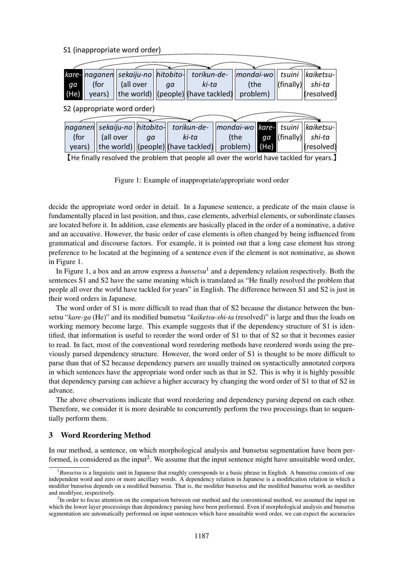## S1 (inappropriate word order)

|                                                                                                                     |        | kare- naganen sekaiju-no hitobito- |           |    |    | torikun-de-                                |  | mondai-wo |       | tsuini               | kaiketsu-  |
|---------------------------------------------------------------------------------------------------------------------|--------|------------------------------------|-----------|----|----|--------------------------------------------|--|-----------|-------|----------------------|------------|
|                                                                                                                     | ga     | (for                               | (all over |    | aa | ki-ta                                      |  | (the      |       | $ (\text{finally}) $ | shi-ta     |
|                                                                                                                     | (He)   | years)                             |           |    |    | the world) $\vert$ (people) (have tackled) |  | problem)  |       |                      | (resolved) |
| S2 (appropriate word order)                                                                                         |        |                                    |           |    |    |                                            |  |           |       |                      |            |
|                                                                                                                     |        | naganen sekaiju-no hitobito-       |           |    |    | torikun-de-                                |  | mondai-wo | kare- | tsuini               | kaiketsu-  |
|                                                                                                                     | (for   |                                    | (all over | qa |    | ki-ta                                      |  | (the      | ga    | $ (\text{finally}) $ | shi-ta     |
|                                                                                                                     | years) |                                    |           |    |    | the world) $\vert$ (people) (have tackled) |  | problem)  | (He)  |                      | (resolved) |
| المستحدث والمقارنة والمستحدث والماليون والمناسب المتحاولة والمتحاولة والمستحدث والمستحدث والمتحاولة والمتحالة والتأ |        |                                    |           |    |    |                                            |  |           |       |                      |            |

【He finally resolved the problem that people all over the world have tackled for years.】

Figure 1: Example of inappropriate/appropriate word order

decide the appropriate word order in detail. In a Japanese sentence, a predicate of the main clause is fundamentally placed in last position, and thus, case elements, adverbial elements, or subordinate clauses are located before it. In addition, case elements are basically placed in the order of a nominative, a dative and an accusative. However, the basic order of case elements is often changed by being influenced from grammatical and discourse factors. For example, it is pointed out that a long case element has strong preference to be located at the beginning of a sentence even if the element is not nominative, as shown in Figure 1.

In Figure 1, a box and an arrow express a *bunsetsu*<sup>1</sup> and a dependency relation respectively. Both the sentences S1 and S2 have the same meaning which is translated as "He finally resolved the problem that people all over the world have tackled for years" in English. The difference between S1 and S2 is just in their word orders in Japanese.

The word order of S1 is more difficult to read than that of S2 because the distance between the bunsetsu "*kare-ga* (He)" and its modified bunsetsu "*kaiketsu-shi-ta* (resolved)" is large and thus the loads on working memory become large. This example suggests that if the dependency structure of S1 is identified, that information is useful to reorder the word order of S1 to that of S2 so that it becomes easier to read. In fact, most of the conventional word reordering methods have reordered words using the previously parsed dependency structure. However, the word order of S1 is thought to be more difficult to parse than that of S2 because dependency parsers are usually trained on syntactically annotated corpora in which sentences have the appropriate word order such as that in S2. This is why it is highly possible that dependency parsing can achieve a higher accuracy by changing the word order of S1 to that of S2 in advance.

The above observations indicate that word reordering and dependency parsing depend on each other. Therefore, we consider it is more desirable to concurrently perform the two processings than to sequentially perform them.

# 3 Word Reordering Method

In our method, a sentence, on which morphological analysis and bunsetsu segmentation have been performed, is considered as the input<sup>2</sup>. We assume that the input sentence might have unsuitable word order,

<sup>1</sup>*Bunsetsu* is a linguistic unit in Japanese that roughly corresponds to a basic phrase in English. A bunsetsu consists of one independent word and zero or more ancillary words. A dependency relation in Japanese is a modification relation in which a modifier bunsetsu depends on a modified bunsetsu. That is, the modifier bunsetsu and the modified bunsetsu work as modifier and modifyee, respectively.

 $<sup>2</sup>$ In order to focus attention on the comparison between our method and the conventional method, we assumed the input on</sup> which the lower layer processings than dependency parsing have been performed. Even if morphological analysis and bunsetsu segmentation are automatically performed on input sentences which have unsuitable word order, we can expect the accuracies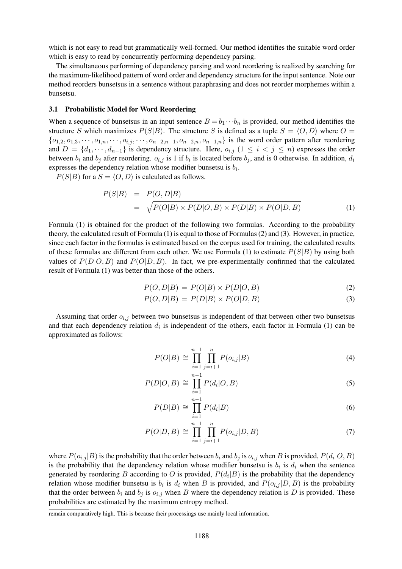which is not easy to read but grammatically well-formed. Our method identifies the suitable word order which is easy to read by concurrently performing dependency parsing.

The simultaneous performing of dependency parsing and word reordering is realized by searching for the maximum-likelihood pattern of word order and dependency structure for the input sentence. Note our method reorders bunsetsus in a sentence without paraphrasing and does not reorder morphemes within a bunsetsu.

#### 3.1 Probabilistic Model for Word Reordering

When a sequence of bunsetsus in an input sentence  $B = b_1 \cdots b_n$  is provided, our method identifies the structure S which maximizes  $P(S|B)$ . The structure S is defined as a tuple  $S = \langle O, D \rangle$  where  $O =$  ${o_{1,2}, o_{1,3}, \cdots, o_{1,n}, \cdots, o_{i,j}, \cdots, o_{n-2,n-1}, o_{n-2,n}, o_{n-1,n}}$  is the word order pattern after reordering and  $D = \{d_1, \dots, d_{n-1}\}\$ is dependency structure. Here,  $o_{i,j}$   $(1 \leq i < j \leq n)$  expresses the order between  $b_i$  and  $b_j$  after reordering.  $o_{i,j}$  is 1 if  $b_i$  is located before  $b_j$ , and is 0 otherwise. In addition,  $d_i$ expresses the dependency relation whose modifier bunsetsu is  $b_i$ .

 $P(S|B)$  for a  $S = \langle O, D \rangle$  is calculated as follows.

$$
P(S|B) = P(O, D|B)
$$
  
= 
$$
\sqrt{P(O|B) \times P(D|O, B) \times P(D|B) \times P(O|D, B)}
$$
 (1)

Formula (1) is obtained for the product of the following two formulas. According to the probability theory, the calculated result of Formula (1) is equal to those of Formulas (2) and (3). However, in practice, since each factor in the formulas is estimated based on the corpus used for training, the calculated results of these formulas are different from each other. We use Formula (1) to estimate  $P(S|B)$  by using both values of  $P(D|O, B)$  and  $P(O|D, B)$ . In fact, we pre-experimentally confirmed that the calculated result of Formula (1) was better than those of the others.

$$
P(O, D|B) = P(O|B) \times P(D|O, B)
$$
\n<sup>(2)</sup>

$$
P(O, D|B) = P(D|B) \times P(O|D, B)
$$
\n(3)

Assuming that order  $o_{i,j}$  between two bunsetsus is independent of that between other two bunsetsus and that each dependency relation  $d_i$  is independent of the others, each factor in Formula (1) can be approximated as follows:

$$
P(O|B) \cong \prod_{i=1}^{n-1} \prod_{j=i+1}^{n} P(o_{i,j}|B)
$$
\n(4)

$$
P(D|O, B) \cong \prod_{i=1}^{n-1} P(d_i|O, B)
$$
\n(5)

$$
P(D|B) \cong \prod_{i=1}^{n-1} P(d_i|B) \tag{6}
$$

$$
P(O|D, B) \cong \prod_{i=1}^{n-1} \prod_{j=i+1}^{n} P(o_{i,j}|D, B)
$$
 (7)

where  $P(o_{i,j}|B)$  is the probability that the order between  $b_i$  and  $b_j$  is  $o_{i,j}$  when  $B$  is provided,  $P(d_i|O, B)$ is the probability that the dependency relation whose modifier bunsetsu is  $b_i$  is  $d_i$  when the sentence generated by reordering B according to O is provided,  $P(d_i|B)$  is the probability that the dependency relation whose modifier bunsetsu is  $b_i$  is  $d_i$  when B is provided, and  $P(o_{i,j}|D, B)$  is the probability that the order between  $b_i$  and  $b_j$  is  $o_{i,j}$  when B where the dependency relation is D is provided. These probabilities are estimated by the maximum entropy method.

remain comparatively high. This is because their processings use mainly local information.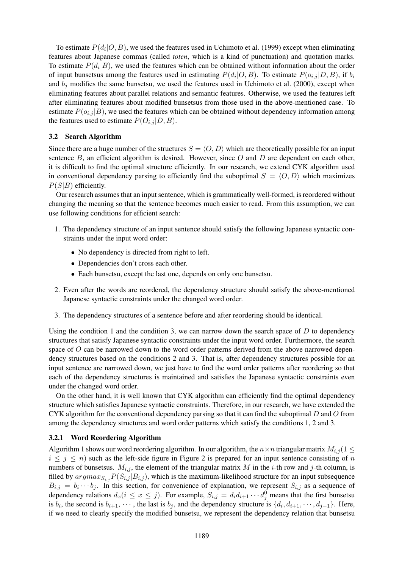To estimate  $P(d_i|O, B)$ , we used the features used in Uchimoto et al. (1999) except when eliminating features about Japanese commas (called *toten*, which is a kind of punctuation) and quotation marks. To estimate  $P(d_i|B)$ , we used the features which can be obtained without information about the order of input bunsetsus among the features used in estimating  $P(d_i|O, B)$ . To estimate  $P(o_{i,j}|D, B)$ , if  $b_i$ and  $b_j$  modifies the same bunsetsu, we used the features used in Uchimoto et al. (2000), except when eliminating features about parallel relations and semantic features. Otherwise, we used the features left after eliminating features about modified bunsetsus from those used in the above-mentioned case. To estimate  $P(o_{i,j} | B)$ , we used the features which can be obtained without dependency information among the features used to estimate  $P(O_{i,j} | D, B)$ .

### 3.2 Search Algorithm

Since there are a huge number of the structures  $S = \langle O, D \rangle$  which are theoretically possible for an input sentence  $B$ , an efficient algorithm is desired. However, since  $O$  and  $D$  are dependent on each other, it is difficult to find the optimal structure efficiently. In our research, we extend CYK algorithm used in conventional dependency parsing to efficiently find the suboptimal  $S = \langle O, D \rangle$  which maximizes  $P(S|B)$  efficiently.

Our research assumes that an input sentence, which is grammatically well-formed, is reordered without changing the meaning so that the sentence becomes much easier to read. From this assumption, we can use following conditions for efficient search:

- 1. The dependency structure of an input sentence should satisfy the following Japanese syntactic constraints under the input word order:
	- No dependency is directed from right to left.
	- Dependencies don't cross each other.
	- Each bunsetsu, except the last one, depends on only one bunsetsu.
- 2. Even after the words are reordered, the dependency structure should satisfy the above-mentioned Japanese syntactic constraints under the changed word order.
- 3. The dependency structures of a sentence before and after reordering should be identical.

Using the condition 1 and the condition 3, we can narrow down the search space of  $D$  to dependency structures that satisfy Japanese syntactic constraints under the input word order. Furthermore, the search space of O can be narrowed down to the word order patterns derived from the above narrowed dependency structures based on the conditions 2 and 3. That is, after dependency structures possible for an input sentence are narrowed down, we just have to find the word order patterns after reordering so that each of the dependency structures is maintained and satisfies the Japanese syntactic constraints even under the changed word order.

On the other hand, it is well known that CYK algorithm can efficiently find the optimal dependency structure which satisfies Japanese syntactic constraints. Therefore, in our research, we have extended the CYK algorithm for the conventional dependency parsing so that it can find the suboptimal  $D$  and  $O$  from among the dependency structures and word order patterns which satisfy the conditions 1, 2 and 3.

#### 3.2.1 Word Reordering Algorithm

Algorithm 1 shows our word reordering algorithm. In our algorithm, the  $n \times n$  triangular matrix  $M_{i,j}$  (1  $\leq$  $i \leq j \leq n$ ) such as the left-side figure in Figure 2 is prepared for an input sentence consisting of n numbers of bunsetsus.  $M_{i,j}$ , the element of the triangular matrix M in the *i*-th row and *j*-th column, is filled by  $argmax_{S_i}P(S_{i,j} | B_{i,j})$ , which is the maximum-likelihood structure for an input subsequence  $B_{i,j} = b_i \cdots b_j$ . In this section, for convenience of explanation, we represent  $S_{i,j}$  as a sequence of dependency relations  $d_x(i \leq x \leq j)$ . For example,  $S_{i,j} = d_i d_{i+1} \cdots d_j^0$  means that the first bunsetsu is  $b_i$ , the second is  $b_{i+1}$ ,  $\dots$ , the last is  $b_j$ , and the dependency structure is  $\{d_i, d_{i+1}, \dots, d_{j-1}\}$ . Here, if we need to clearly specify the modified bunsetsu, we represent the dependency relation that bunsetsu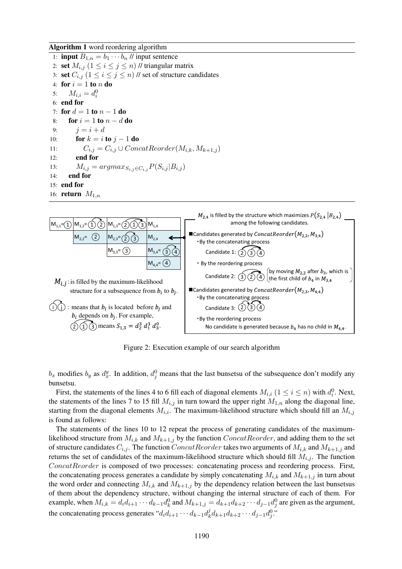Algorithm 1 word reordering algorithm

1: **input**  $B_{1,n} = b_1 \cdots b_n$  // **input sentence** 2: set  $M_{i,j}$   $(1 \leq i \leq j \leq n)$  // triangular matrix 3: set  $C_{i,j}$   $(1 \leq i \leq j \leq n)$  // set of structure candidates 4: for  $i = 1$  to n do 5:  $M_{i,i} = d_i^0$ 6: end for 7: for  $d = 1$  to  $n - 1$  do 8: for  $i = 1$  to  $n - d$  do 9:  $j = i + d$ 10: **for**  $k = i$  to  $j - 1$  do 11:  $C_{i,j} = C_{i,j} \cup ConcatReorder(M_{i,k}, M_{k+1,j})$ 12: end for 13:  $M_{i,j} = argmax_{S_{i,j} \in C_{i,j}} P(S_{i,j} | B_{i,j})$ <br>14: **end for** end for 15: end for 16: return  $M_{1,n}$ 



Figure 2: Execution example of our search algorithm

 $b_x$  modifies  $b_y$  as  $d_x^y$ . In addition,  $d_y^0$  means that the last bunsetsu of the subsequence don't modify any bunsetsu.

First, the statements of the lines 4 to 6 fill each of diagonal elements  $M_{i,i}$   $(1 \le i \le n)$  with  $d_i^0$ . Next, the statements of the lines 7 to 15 fill  $M_{i,j}$  in turn toward the upper right  $M_{1,n}$  along the diagonal line, starting from the diagonal elements  $M_{i,i}$ . The maximum-likelihood structure which should fill an  $M_{i,j}$ is found as follows:

The statements of the lines 10 to 12 repeat the process of generating candidates of the maximumlikelihood structure from  $M_{i,k}$  and  $M_{k+1,j}$  by the function  $ConcatReorder$ , and adding them to the set of structure candidates  $C_{i,j}$ . The function  $ConcatReorder$  takes two arguments of  $M_{i,k}$  and  $M_{k+1,j}$  and returns the set of candidates of the maximum-likelihood structure which should fill  $M_{i,j}$ . The function ConcatReorder is composed of two processes: concatenating process and reordering process. First, the concatenating process generates a candidate by simply concatenating  $M_{i,k}$  and  $M_{k+1,j}$  in turn about the word order and connecting  $M_{i,k}$  and  $M_{k+1,j}$  by the dependency relation between the last bunsetsus of them about the dependency structure, without changing the internal structure of each of them. For example, when  $M_{i,k} = d_i d_{i+1} \cdots d_{k-1} d_k^0$  and  $M_{k+1,j} = d_{k+1} d_{k+2} \cdots d_{j-1} d_j^0$  are given as the argument, the concatenating process generates " $d_i d_{i+1} \cdots d_{k-1} d_k^j$  $d_k^j d_{k+1} d_{k+2} \cdots d_{j-1} d_{j}^0$ ."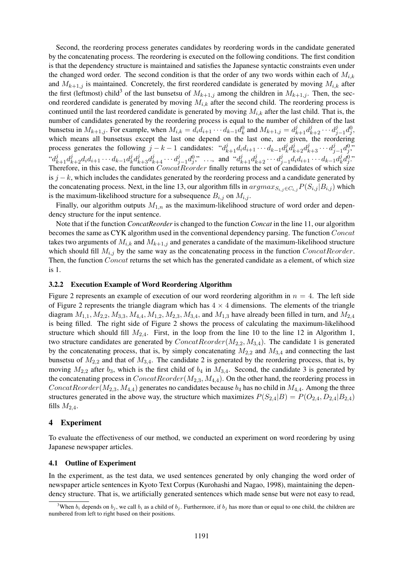Second, the reordering process generates candidates by reordering words in the candidate generated by the concatenating process. The reordering is executed on the following conditions. The first condition is that the dependency structure is maintained and satisfies the Japanese syntactic constraints even under the changed word order. The second condition is that the order of any two words within each of  $M_{i,k}$ and  $M_{k+1,j}$  is maintained. Concretely, the first reordered candidate is generated by moving  $M_{i,k}$  after the first (leftmost) child<sup>3</sup> of the last bunsetsu of  $M_{k+1,j}$  among the children in  $M_{k+1,j}$ . Then, the second reordered candidate is generated by moving  $M_{i,k}$  after the second child. The reordering process is continued until the last reordered candidate is generated by moving  $M_{i,k}$  after the last child. That is, the number of candidates generated by the reordering process is equal to the number of children of the last bunsetsu in  $M_{k+1,j}$ . For example, when  $M_{i,k} = d_i d_{i+1} \cdots d_{k-1} d_k^0$  and  $M_{k+1,j} = d_{k+1}^j d_{k+2}^j \cdots d_j^j$  $j_{j-1}d_j^0,$ which means all bunsetsus except the last one depend on the last one, are given, the reordering process generates the following  $j - k - 1$  candidates:  $d_{k+1}^j d_i d_{i+1} \cdots d_{k-1} d_k^j$  $\begin{array}{c} \iota^j_k d^j_{k+2} d^j_{k+3} \cdots d^j_j \end{array}$  $j_{-1}d_j^0$ "  $``d_{k+1}^{j}d_{k+2}^{j}d_{i}d_{i+1}\cdots d_{k-1}d_{k}^{j}$  $\begin{array}{c} \iota^j_k d^j_{k+3} d^j_{k+4} \cdots d^j_j \end{array}$  $\begin{pmatrix} j & j \\ j-1 & q \end{pmatrix}$ , and  $\begin{pmatrix} id_{k+1}^j & d_{k+2}^j & \cdots & d_j^j \end{pmatrix}$  $j_{j-1}d_id_{i+1}\cdots d_{k-1}d_k^j$  $_{k}^{j}d_{j}^{0}$ ." Therefore, in this case, the function  $ConcatReorder$  finally returns the set of candidates of which size is  $j - k$ , which includes the candidates generated by the reordering process and a candidate generated by the concatenating process. Next, in the line 13, our algorithm fills in  $argmax_{S_{i,j}\in C_{i,j}}P(S_{i,j} | B_{i,j})$  which is the maximum-likelihood structure for a subsequence  $B_{i,j}$  on  $M_{i,j}$ .

Finally, our algorithm outputs  $M_{1,n}$  as the maximum-likelihood structure of word order and dependency structure for the input sentence.

Note that if the function *ConcatReorder* is changed to the function *Concat* in the line 11, our algorithm becomes the same as CYK algorithm used in the conventional dependency parsing. The function Concat takes two arguments of  $M_{i,k}$  and  $M_{k+1,j}$  and generates a candidate of the maximum-likelihood structure which should fill  $M_{i,j}$  by the same way as the concatenating process in the function  $ConcatReorder$ . Then, the function Concat returns the set which has the generated candidate as a element, of which size is 1.

### 3.2.2 Execution Example of Word Reordering Algorithm

Figure 2 represents an example of execution of our word reordering algorithm in  $n = 4$ . The left side of Figure 2 represents the triangle diagram which has  $4 \times 4$  dimensions. The elements of the triangle diagram  $M_{1,1}, M_{2,2}, M_{3,3}, M_{4,4}, M_{1,2}, M_{2,3}, M_{3,4}$ , and  $M_{1,3}$  have already been filled in turn, and  $M_{2,4}$ is being filled. The right side of Figure 2 shows the process of calculating the maximum-likelihood structure which should fill  $M_{2,4}$ . First, in the loop from the line 10 to the line 12 in Algorithm 1, two structure candidates are generated by  $ConcatReorder(M_{2,2}, M_{3,4})$ . The candidate 1 is generated by the concatenating process, that is, by simply concatenating  $M_{2,2}$  and  $M_{3,4}$  and connecting the last bunsetsu of  $M_{2,2}$  and that of  $M_{3,4}$ . The candidate 2 is generated by the reordering process, that is, by moving  $M_{2,2}$  after  $b_3$ , which is the first child of  $b_4$  in  $M_{3,4}$ . Second, the candidate 3 is generated by the concatenating process in  $ConcatReorder(M_{2,3}, M_{4,4})$ . On the other hand, the reordering process in  $ConcatReorder(M_{2,3}, M_{4,4})$  generates no candidates because  $b_4$  has no child in  $M_{4,4}$ . Among the three structures generated in the above way, the structure which maximizes  $P(S_{2,4}|B) = P(O_{2,4}, D_{2,4}|B_{2,4})$ fills  $M_{2,4}$ .

#### 4 Experiment

To evaluate the effectiveness of our method, we conducted an experiment on word reordering by using Japanese newspaper articles.

#### 4.1 Outline of Experiment

In the experiment, as the test data, we used sentences generated by only changing the word order of newspaper article sentences in Kyoto Text Corpus (Kurohashi and Nagao, 1998), maintaining the dependency structure. That is, we artificially generated sentences which made sense but were not easy to read,

<sup>&</sup>lt;sup>3</sup>When  $b_i$  depends on  $b_j$ , we call  $b_i$  as a child of  $b_j$ . Furthermore, if  $b_j$  has more than or equal to one child, the children are numbered from left to right based on their positions.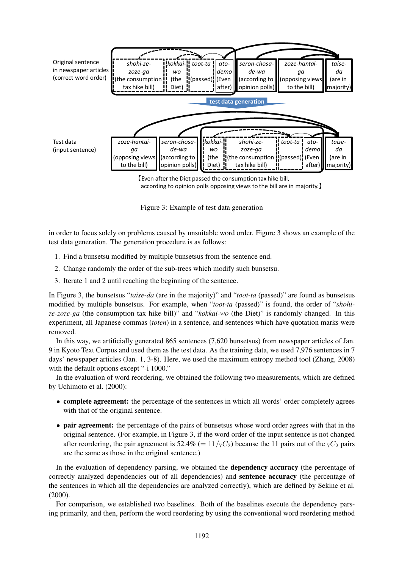

【Even after the Diet passed the consumption tax hike bill, according to opinion polls opposing views to the bill are in majority.】

Figure 3: Example of test data generation

in order to focus solely on problems caused by unsuitable word order. Figure 3 shows an example of the test data generation. The generation procedure is as follows:

- 1. Find a bunsetsu modified by multiple bunsetsus from the sentence end.
- 2. Change randomly the order of the sub-trees which modify such bunsetsu.
- 3. Iterate 1 and 2 until reaching the beginning of the sentence.

In Figure 3, the bunsetsus "*taise-da* (are in the majority)" and "*toot-ta* (passed)" are found as bunsetsus modified by multiple bunsetsus. For example, when "*toot-ta* (passed)" is found, the order of "*shohize-zoze-ga* (the consumption tax hike bill)" and "*kokkai-wo* (the Diet)" is randomly changed. In this experiment, all Japanese commas (*toten*) in a sentence, and sentences which have quotation marks were removed.

In this way, we artificially generated 865 sentences (7,620 bunsetsus) from newspaper articles of Jan. 9 in Kyoto Text Corpus and used them as the test data. As the training data, we used 7,976 sentences in 7 days' newspaper articles (Jan. 1, 3-8). Here, we used the maximum entropy method tool (Zhang, 2008) with the default options except "-i 1000."

In the evaluation of word reordering, we obtained the following two measurements, which are defined by Uchimoto et al. (2000):

- complete agreement: the percentage of the sentences in which all words' order completely agrees with that of the original sentence.
- pair agreement: the percentage of the pairs of bunsetsus whose word order agrees with that in the original sentence. (For example, in Figure 3, if the word order of the input sentence is not changed after reordering, the pair agreement is 52.4% (=  $11/\tau C_2$ ) because the 11 pairs out of the  $\tau C_2$  pairs are the same as those in the original sentence.)

In the evaluation of dependency parsing, we obtained the **dependency accuracy** (the percentage of correctly analyzed dependencies out of all dependencies) and sentence accuracy (the percentage of the sentences in which all the dependencies are analyzed correctly), which are defined by Sekine et al. (2000).

For comparison, we established two baselines. Both of the baselines execute the dependency parsing primarily, and then, perform the word reordering by using the conventional word reordering method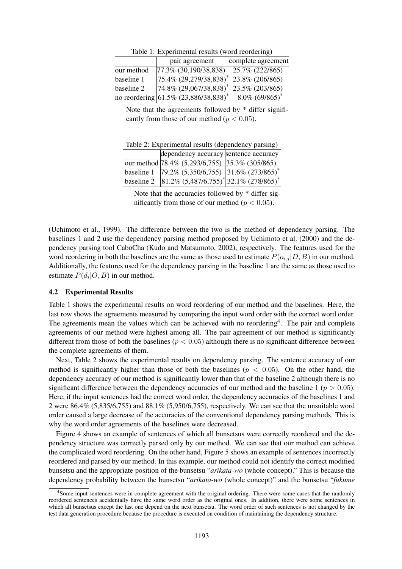|            | pair agreement                                     | complete agreement            |  |  |  |  |  |
|------------|----------------------------------------------------|-------------------------------|--|--|--|--|--|
| our method | $77.3\%$ (30,190/38,838)                           | 25.7% (222/865)               |  |  |  |  |  |
| baseline 1 | $ 75.4\% (29,279/38,838)^{*}  23.8\% (206/865)$    |                               |  |  |  |  |  |
| baseline 2 | $\left 74.8\% \left(29.067/38.838\right)\right ^*$ | 23.5% (203/865)               |  |  |  |  |  |
|            | no reordering 61.5% (23,886/38,838) <sup>*</sup>   | $8.0\%$ (69/865) <sup>*</sup> |  |  |  |  |  |

Table 1: Experimental results (word reordering)

Note that the agreements followed by  $*$  differ significantly from those of our method ( $p < 0.05$ ).

Table 2: Experimental results (dependency parsing)

| dependency accuracy sentence accuracy                              |  |
|--------------------------------------------------------------------|--|
| our method 78.4% (5,293/6,755) 35.3% (305/865)                     |  |
| baseline 1   $79.2\%$ (5,350/6,755)   31.6% (273/865) <sup>*</sup> |  |
| baseline 2   81.2% $(5,487/6,755)^*$   32.1% $(278/865)^*$         |  |

Note that the accuracies followed by \* differ significantly from those of our method ( $p < 0.05$ ).

(Uchimoto et al., 1999). The difference between the two is the method of dependency parsing. The baselines 1 and 2 use the dependency parsing method proposed by Uchimoto et al. (2000) and the dependency parsing tool CaboCha (Kudo and Matsumoto, 2002), respectively. The features used for the word reordering in both the baselines are the same as those used to estimate  $P(o_{i,j} | D, B)$  in our method. Additionally, the features used for the dependency parsing in the baseline 1 are the same as those used to estimate  $P(d_i|O, B)$  in our method.

#### 4.2 Experimental Results

Table 1 shows the experimental results on word reordering of our method and the baselines. Here, the last row shows the agreements measured by comparing the input word order with the correct word order. The agreements mean the values which can be achieved with no reordering<sup>4</sup>. The pair and complete agreements of our method were highest among all. The pair agreement of our method is significantly different from those of both the baselines ( $p < 0.05$ ) although there is no significant difference between the complete agreements of them.

Next, Table 2 shows the experimental results on dependency parsing. The sentence accuracy of our method is significantly higher than those of both the baselines ( $p < 0.05$ ). On the other hand, the dependency accuracy of our method is significantly lower than that of the baseline 2 although there is no significant difference between the dependency accuracies of our method and the baseline  $1 (p > 0.05)$ . Here, if the input sentences had the correct word order, the dependency accuracies of the baselines 1 and 2 were 86.4% (5,835/6,755) and 88.1% (5,950/6,755), respectively. We can see that the unsuitable word order caused a large decrease of the accuracies of the conventional dependency parsing methods. This is why the word order agreements of the baselines were decreased.

Figure 4 shows an example of sentences of which all bunsetsus were correctly reordered and the dependency structure was correctly parsed only by our method. We can see that our method can achieve the complicated word reordering. On the other hand, Figure 5 shows an example of sentences incorrectly reordered and parsed by our method. In this example, our method could not identify the correct modified bunsetsu and the appropriate position of the bunsetsu "*arikata-wo* (whole concept)." This is because the dependency probability between the bunsetsu "*arikata-wo* (whole concept)" and the bunsetsu "*fukume*

<sup>4</sup> Some input sentences were in complete agreement with the original ordering. There were some cases that the randomly reordered sentences accidentally have the same word order as the original ones. In addition, there were some sentences in which all bunsetsus except the last one depend on the next bunsetsu. The word order of such sentences is not changed by the test data generation procedure because the procedure is executed on condition of maintaining the dependency structure.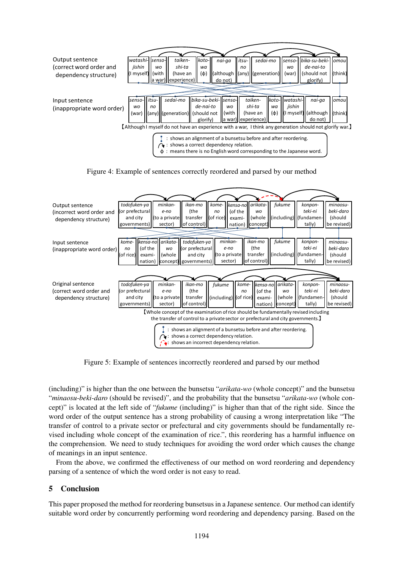





Figure 5: Example of sentences incorrectly reordered and parsed by our method

(including)" is higher than the one between the bunsetsu "*arikata-wo* (whole concept)" and the bunsetsu "*minaosu-beki-daro* (should be revised)", and the probability that the bunsetsu "*arikata-wo* (whole concept)" is located at the left side of "*fukume* (including)" is higher than that of the right side. Since the word order of the output sentence has a strong probability of causing a wrong interpretation like "The transfer of control to a private sector or prefectural and city governments should be fundamentally revised including whole concept of the examination of rice.", this reordering has a harmful influence on the comprehension. We need to study techniques for avoiding the word order which causes the change of meanings in an input sentence.

From the above, we confirmed the effectiveness of our method on word reordering and dependency parsing of a sentence of which the word order is not easy to read.

## 5 Conclusion

This paper proposed the method for reordering bunsetsus in a Japanese sentence. Our method can identify suitable word order by concurrently performing word reordering and dependency parsing. Based on the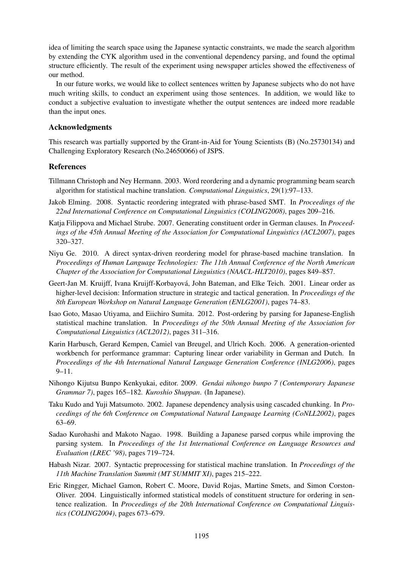idea of limiting the search space using the Japanese syntactic constraints, we made the search algorithm by extending the CYK algorithm used in the conventional dependency parsing, and found the optimal structure efficiently. The result of the experiment using newspaper articles showed the effectiveness of our method.

In our future works, we would like to collect sentences written by Japanese subjects who do not have much writing skills, to conduct an experiment using those sentences. In addition, we would like to conduct a subjective evaluation to investigate whether the output sentences are indeed more readable than the input ones.

## Acknowledgments

This research was partially supported by the Grant-in-Aid for Young Scientists (B) (No.25730134) and Challenging Exploratory Research (No.24650066) of JSPS.

# References

- Tillmann Christoph and Ney Hermann. 2003. Word reordering and a dynamic programming beam search algorithm for statistical machine translation. *Computational Linguistics*, 29(1):97–133.
- Jakob Elming. 2008. Syntactic reordering integrated with phrase-based SMT. In *Proceedings of the 22nd International Conference on Computational Linguistics (COLING2008)*, pages 209–216.
- Katja Filippova and Michael Strube. 2007. Generating constituent order in German clauses. In *Proceedings of the 45th Annual Meeting of the Association for Computational Linguistics (ACL2007)*, pages 320–327.
- Niyu Ge. 2010. A direct syntax-driven reordering model for phrase-based machine translation. In *Proceedings of Human Language Technologies: The 11th Annual Conference of the North American Chapter of the Association for Computational Linguistics (NAACL-HLT2010)*, pages 849–857.
- Geert-Jan M. Kruijff, Ivana Kruijff-Korbayova, John Bateman, and Elke Teich. 2001. Linear order as ´ higher-level decision: Information structure in strategic and tactical generation. In *Proceedings of the 8th European Workshop on Natural Language Generation (ENLG2001)*, pages 74–83.
- Isao Goto, Masao Utiyama, and Eiichiro Sumita. 2012. Post-ordering by parsing for Japanese-English statistical machine translation. In *Proceedings of the 50th Annual Meeting of the Association for Computational Linguistics (ACL2012)*, pages 311–316.
- Karin Harbusch, Gerard Kempen, Camiel van Breugel, and Ulrich Koch. 2006. A generation-oriented workbench for performance grammar: Capturing linear order variability in German and Dutch. In *Proceedings of the 4th International Natural Language Generation Conference (INLG2006)*, pages 9–11.
- Nihongo Kijutsu Bunpo Kenkyukai, editor. 2009. *Gendai nihongo bunpo 7 (Contemporary Japanese Grammar 7)*, pages 165–182. *Kuroshio Shuppan*. (In Japanese).
- Taku Kudo and Yuji Matsumoto. 2002. Japanese dependency analysis using cascaded chunking. In *Proceedings of the 6th Conference on Computational Natural Language Learning (CoNLL2002)*, pages 63–69.
- Sadao Kurohashi and Makoto Nagao. 1998. Building a Japanese parsed corpus while improving the parsing system. In *Proceedings of the 1st International Conference on Language Resources and Evaluation (LREC '98)*, pages 719–724.
- Habash Nizar. 2007. Syntactic preprocessing for statistical machine translation. In *Proceedings of the 11th Machine Translation Summit (MT SUMMIT XI)*, pages 215–222.
- Eric Ringger, Michael Gamon, Robert C. Moore, David Rojas, Martine Smets, and Simon Corston-Oliver. 2004. Linguistically informed statistical models of constituent structure for ordering in sentence realization. In *Proceedings of the 20th International Conference on Computational Linguistics (COLING2004)*, pages 673–679.